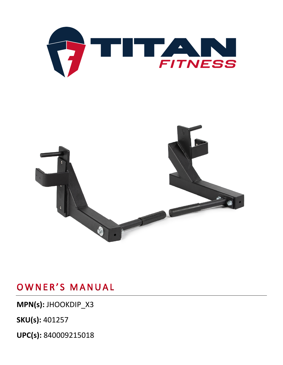

## OWNER'S MANUAL

**MPN(s):** JHOOKDIP\_X3

**SKU(s):** 401257

**UPC(s):** 840009215018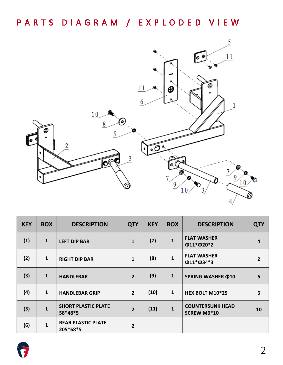### PARTS DIAGRAM / EXPLODED VIEW



| <b>KEY</b> | <b>BOX</b>   | <b>DESCRIPTION</b>                    | <b>QTY</b>     | <b>KEY</b> | <b>BOX</b>   | <b>DESCRIPTION</b>                            | <b>QTY</b>     |
|------------|--------------|---------------------------------------|----------------|------------|--------------|-----------------------------------------------|----------------|
| (1)        | $\mathbf{1}$ | <b>LEFT DIP BAR</b>                   | $\mathbf{1}$   | (7)        | 1            | <b>FLAT WASHER</b><br>Φ11*Φ20*2               | $\overline{4}$ |
| (2)        | $\mathbf{1}$ | <b>RIGHT DIP BAR</b>                  | $\mathbf{1}$   | (8)        | $\mathbf{1}$ | <b>FLAT WASHER</b><br>Φ11*Φ34*3               | $\overline{2}$ |
| (3)        | $\mathbf{1}$ | <b>HANDLEBAR</b>                      | $\overline{2}$ | (9)        | $\mathbf{1}$ | <b>SPRING WASHER ¢10</b>                      | 6              |
| (4)        | $\mathbf{1}$ | <b>HANDLEBAR GRIP</b>                 | $\overline{2}$ | (10)       | 1            | HEX BOLT M10*25                               | 6              |
| (5)        | $\mathbf{1}$ | <b>SHORT PLASTIC PLATE</b><br>58*48*5 | $\overline{2}$ | (11)       | 1            | <b>COUNTERSUNK HEAD</b><br><b>SCREW M6*10</b> | 10             |
| (6)        | $\mathbf{1}$ | <b>REAR PLASTIC PLATE</b><br>205*68*5 | $\overline{2}$ |            |              |                                               |                |

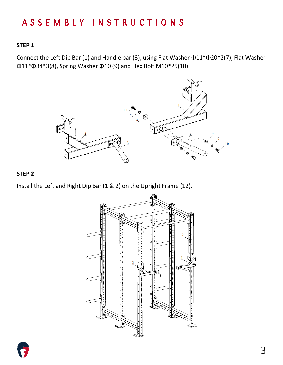### ASSEMBLY INSTRUCTIONS

#### **STEP 1**

Connect the Left Dip Bar (1) and Handle bar (3), using Flat Washer Φ11\*Φ20\*2(7), Flat Washer Φ11\*Φ34\*3(8), Spring Washer Φ10 (9) and Hex Bolt M10\*25(10).



#### **STEP 2**

Install the Left and Right Dip Bar (1 & 2) on the Upright Frame (12).